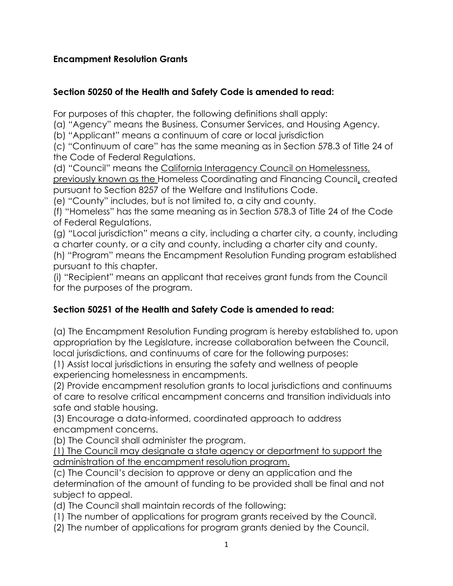#### **Encampment Resolution Grants**

#### **Section 50250 of the Health and Safety Code is amended to read:**

For purposes of this chapter, the following definitions shall apply:

(a) "Agency" means the Business, Consumer Services, and Housing Agency.

(b) "Applicant" means a continuum of care or local jurisdiction

(c) "Continuum of care" has the same meaning as in Section 578.3 of Title 24 of the Code of Federal Regulations.

(d) "Council" means the California Interagency Council on Homelessness,

previously known as the Homeless Coordinating and Financing Council, created pursuant to Section 8257 of the Welfare and Institutions Code.

(e) "County" includes, but is not limited to, a city and county.

(f) "Homeless" has the same meaning as in Section 578.3 of Title 24 of the Code of Federal Regulations.

(g) "Local jurisdiction" means a city, including a charter city, a county, including a charter county, or a city and county, including a charter city and county.

(h) "Program" means the Encampment Resolution Funding program established pursuant to this chapter.

(i) "Recipient" means an applicant that receives grant funds from the Council for the purposes of the program.

### **Section 50251 of the Health and Safety Code is amended to read:**

(a) The Encampment Resolution Funding program is hereby established to, upon appropriation by the Legislature, increase collaboration between the Council, local jurisdictions, and continuums of care for the following purposes:

(1) Assist local jurisdictions in ensuring the safety and wellness of people experiencing homelessness in encampments.

(2) Provide encampment resolution grants to local jurisdictions and continuums of care to resolve critical encampment concerns and transition individuals into safe and stable housing.

(3) Encourage a data-informed, coordinated approach to address encampment concerns.

(b) The Council shall administer the program.

(1) The Council may designate a state agency or department to support the administration of the encampment resolution program.

(c) The Council's decision to approve or deny an application and the determination of the amount of funding to be provided shall be final and not subject to appeal.

(d) The Council shall maintain records of the following:

(1) The number of applications for program grants received by the Council.

(2) The number of applications for program grants denied by the Council.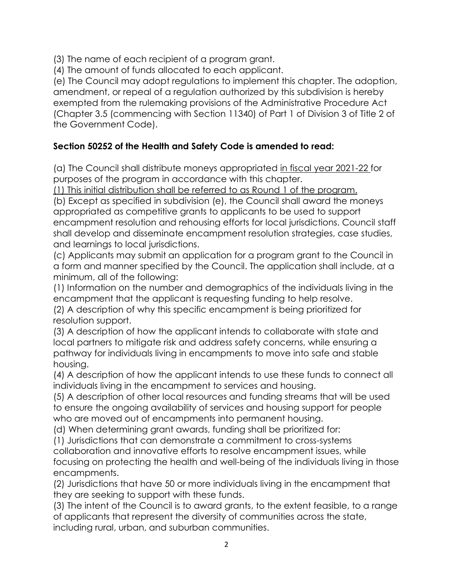(3) The name of each recipient of a program grant.

(4) The amount of funds allocated to each applicant.

(e) The Council may adopt regulations to implement this chapter. The adoption, amendment, or repeal of a regulation authorized by this subdivision is hereby exempted from the rulemaking provisions of the Administrative Procedure Act (Chapter 3.5 (commencing with Section 11340) of Part 1 of Division 3 of Title 2 of the Government Code).

# **Section 50252 of the Health and Safety Code is amended to read:**

(a) The Council shall distribute moneys appropriated in fiscal year 2021-22 for purposes of the program in accordance with this chapter.

(1) This initial distribution shall be referred to as Round 1 of the program.

(b) Except as specified in subdivision (e), the Council shall award the moneys appropriated as competitive grants to applicants to be used to support encampment resolution and rehousing efforts for local jurisdictions. Council staff shall develop and disseminate encampment resolution strategies, case studies, and learnings to local jurisdictions.

(c) Applicants may submit an application for a program grant to the Council in a form and manner specified by the Council. The application shall include, at a minimum, all of the following:

(1) Information on the number and demographics of the individuals living in the encampment that the applicant is requesting funding to help resolve.

(2) A description of why this specific encampment is being prioritized for resolution support.

(3) A description of how the applicant intends to collaborate with state and local partners to mitigate risk and address safety concerns, while ensuring a pathway for individuals living in encampments to move into safe and stable housing.

(4) A description of how the applicant intends to use these funds to connect all individuals living in the encampment to services and housing.

(5) A description of other local resources and funding streams that will be used to ensure the ongoing availability of services and housing support for people who are moved out of encampments into permanent housing.

(d) When determining grant awards, funding shall be prioritized for:

(1) Jurisdictions that can demonstrate a commitment to cross-systems collaboration and innovative efforts to resolve encampment issues, while focusing on protecting the health and well-being of the individuals living in those encampments.

(2) Jurisdictions that have 50 or more individuals living in the encampment that they are seeking to support with these funds.

(3) The intent of the Council is to award grants, to the extent feasible, to a range of applicants that represent the diversity of communities across the state, including rural, urban, and suburban communities.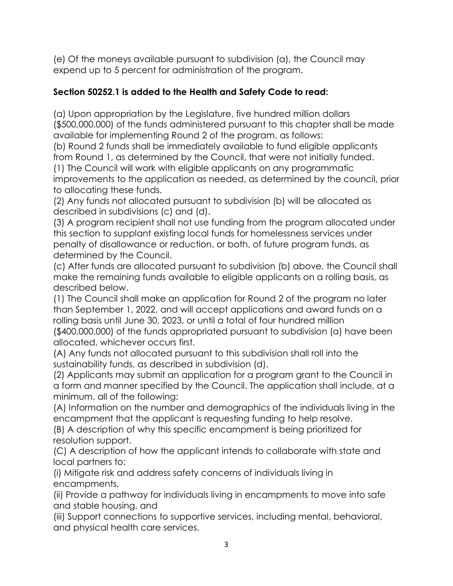(e) Of the moneys available pursuant to subdivision (a), the Council may expend up to 5 percent for administration of the program.

### **Section 50252.1 is added to the Health and Safety Code to read:**

(a) Upon appropriation by the Legislature, five hundred million dollars (\$500,000,000) of the funds administered pursuant to this chapter shall be made available for implementing Round 2 of the program, as follows:

(b) Round 2 funds shall be immediately available to fund eligible applicants from Round 1, as determined by the Council, that were not initially funded.

(1) The Council will work with eligible applicants on any programmatic improvements to the application as needed, as determined by the council, prior to allocating these funds.

(2) Any funds not allocated pursuant to subdivision (b) will be allocated as described in subdivisions (c) and (d).

(3) A program recipient shall not use funding from the program allocated under this section to supplant existing local funds for homelessness services under penalty of disallowance or reduction, or both, of future program funds, as determined by the Council.

(c) After funds are allocated pursuant to subdivision (b) above, the Council shall make the remaining funds available to eligible applicants on a rolling basis, as described below.

(1) The Council shall make an application for Round 2 of the program no later than September 1, 2022, and will accept applications and award funds on a rolling basis until June 30, 2023, or until a total of four hundred million (\$400,000,000) of the funds appropriated pursuant to subdivision (a) have been allocated, whichever occurs first.

(A) Any funds not allocated pursuant to this subdivision shall roll into the sustainability funds, as described in subdivision (d).

(2) Applicants may submit an application for a program grant to the Council in a form and manner specified by the Council. The application shall include, at a minimum, all of the following:

(A) Information on the number and demographics of the individuals living in the encampment that the applicant is requesting funding to help resolve.

(B) A description of why this specific encampment is being prioritized for resolution support.

(C) A description of how the applicant intends to collaborate with state and local partners to:

(i) Mitigate risk and address safety concerns of individuals living in encampments,

(ii) Provide a pathway for individuals living in encampments to move into safe and stable housing, and

(iii) Support connections to supportive services, including mental, behavioral, and physical health care services.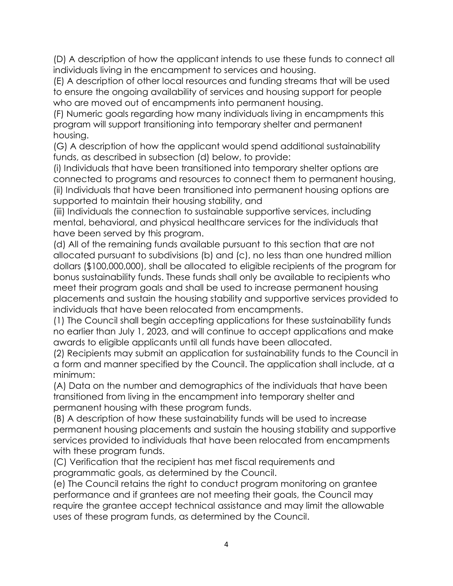(D) A description of how the applicant intends to use these funds to connect all individuals living in the encampment to services and housing.

(E) A description of other local resources and funding streams that will be used to ensure the ongoing availability of services and housing support for people who are moved out of encampments into permanent housing.

(F) Numeric goals regarding how many individuals living in encampments this program will support transitioning into temporary shelter and permanent housing.

(G) A description of how the applicant would spend additional sustainability funds, as described in subsection (d) below, to provide:

(i) Individuals that have been transitioned into temporary shelter options are connected to programs and resources to connect them to permanent housing, (ii) Individuals that have been transitioned into permanent housing options are supported to maintain their housing stability, and

(iii) Individuals the connection to sustainable supportive services, including mental, behavioral, and physical healthcare services for the individuals that have been served by this program.

(d) All of the remaining funds available pursuant to this section that are not allocated pursuant to subdivisions (b) and (c), no less than one hundred million dollars (\$100,000,000), shall be allocated to eligible recipients of the program for bonus sustainability funds. These funds shall only be available to recipients who meet their program goals and shall be used to increase permanent housing placements and sustain the housing stability and supportive services provided to individuals that have been relocated from encampments.

(1) The Council shall begin accepting applications for these sustainability funds no earlier than July 1, 2023, and will continue to accept applications and make awards to eligible applicants until all funds have been allocated.

(2) Recipients may submit an application for sustainability funds to the Council in a form and manner specified by the Council. The application shall include, at a minimum:

(A) Data on the number and demographics of the individuals that have been transitioned from living in the encampment into temporary shelter and permanent housing with these program funds.

(B) A description of how these sustainability funds will be used to increase permanent housing placements and sustain the housing stability and supportive services provided to individuals that have been relocated from encampments with these program funds.

(C) Verification that the recipient has met fiscal requirements and programmatic goals, as determined by the Council.

(e) The Council retains the right to conduct program monitoring on grantee performance and if grantees are not meeting their goals, the Council may require the grantee accept technical assistance and may limit the allowable uses of these program funds, as determined by the Council.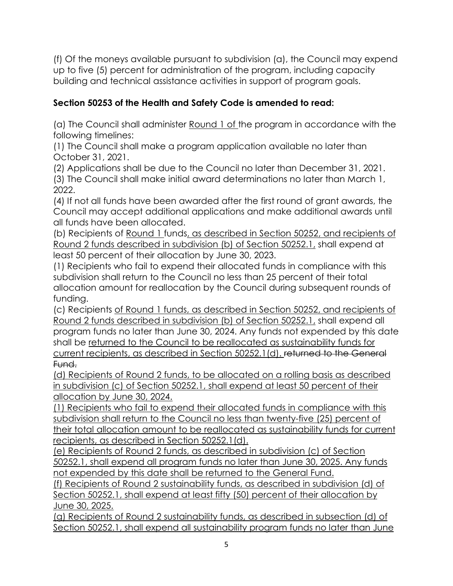(f) Of the moneys available pursuant to subdivision (a), the Council may expend up to five (5) percent for administration of the program, including capacity building and technical assistance activities in support of program goals.

## **Section 50253 of the Health and Safety Code is amended to read:**

(a) The Council shall administer Round 1 of the program in accordance with the following timelines:

(1) The Council shall make a program application available no later than October 31, 2021.

(2) Applications shall be due to the Council no later than December 31, 2021. (3) The Council shall make initial award determinations no later than March 1, 2022.

(4) If not all funds have been awarded after the first round of grant awards, the Council may accept additional applications and make additional awards until all funds have been allocated.

(b) Recipients of Round 1 funds, as described in Section 50252, and recipients of Round 2 funds described in subdivision (b) of Section 50252.1, shall expend at least 50 percent of their allocation by June 30, 2023.

(1) Recipients who fail to expend their allocated funds in compliance with this subdivision shall return to the Council no less than 25 percent of their total allocation amount for reallocation by the Council during subsequent rounds of funding.

(c) Recipients of Round 1 funds, as described in Section 50252, and recipients of Round 2 funds described in subdivision (b) of Section 50252.1, shall expend all program funds no later than June 30, 2024. Any funds not expended by this date shall be returned to the Council to be reallocated as sustainability funds for current recipients, as described in Section 50252.1(d). returned to the General Fund.

(d) Recipients of Round 2 funds, to be allocated on a rolling basis as described in subdivision (c) of Section 50252.1, shall expend at least 50 percent of their allocation by June 30, 2024.

(1) Recipients who fail to expend their allocated funds in compliance with this subdivision shall return to the Council no less than twenty-five (25) percent of their total allocation amount to be reallocated as sustainability funds for current recipients, as described in Section 50252.1(d).

(e) Recipients of Round 2 funds, as described in subdivision (c) of Section 50252.1, shall expend all program funds no later than June 30, 2025. Any funds not expended by this date shall be returned to the General Fund.

(f) Recipients of Round 2 sustainability funds, as described in subdivision (d) of Section 50252.1, shall expend at least fifty (50) percent of their allocation by June 30, 2025.

(g) Recipients of Round 2 sustainability funds, as described in subsection (d) of Section 50252.1, shall expend all sustainability program funds no later than June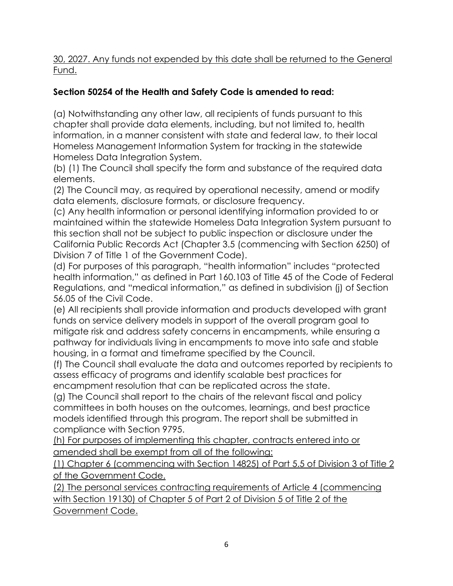30, 2027. Any funds not expended by this date shall be returned to the General Fund.

## **Section 50254 of the Health and Safety Code is amended to read:**

(a) Notwithstanding any other law, all recipients of funds pursuant to this chapter shall provide data elements, including, but not limited to, health information, in a manner consistent with state and federal law, to their local Homeless Management Information System for tracking in the statewide Homeless Data Integration System.

(b) (1) The Council shall specify the form and substance of the required data elements.

(2) The Council may, as required by operational necessity, amend or modify data elements, disclosure formats, or disclosure frequency.

(c) Any health information or personal identifying information provided to or maintained within the statewide Homeless Data Integration System pursuant to this section shall not be subject to public inspection or disclosure under the California Public Records Act (Chapter 3.5 (commencing with Section 6250) of Division 7 of Title 1 of the Government Code).

(d) For purposes of this paragraph, "health information" includes "protected health information," as defined in Part 160.103 of Title 45 of the Code of Federal Regulations, and "medical information," as defined in subdivision (j) of Section 56.05 of the Civil Code.

(e) All recipients shall provide information and products developed with grant funds on service delivery models in support of the overall program goal to mitigate risk and address safety concerns in encampments, while ensuring a pathway for individuals living in encampments to move into safe and stable housing, in a format and timeframe specified by the Council.

(f) The Council shall evaluate the data and outcomes reported by recipients to assess efficacy of programs and identify scalable best practices for encampment resolution that can be replicated across the state.

(g) The Council shall report to the chairs of the relevant fiscal and policy committees in both houses on the outcomes, learnings, and best practice models identified through this program. The report shall be submitted in compliance with Section 9795.

(h) For purposes of implementing this chapter, contracts entered into or amended shall be exempt from all of the following:

(1) Chapter 6 (commencing with Section 14825) of Part 5.5 of Division 3 of Title 2 of the Government Code.

(2) The personal services contracting requirements of Article 4 (commencing with Section 19130) of Chapter 5 of Part 2 of Division 5 of Title 2 of the Government Code.